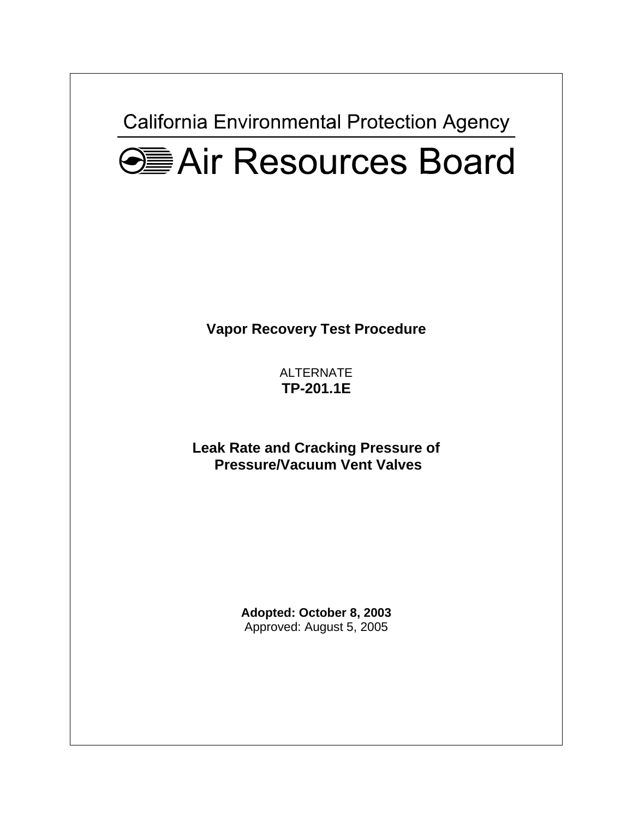**California Environmental Protection Agency** 



**Vapor Recovery Test Procedure** 

ALTERNATE **TP-201.1E**

**Leak Rate and Cracking Pressure of Pressure/Vacuum Vent Valves** 

> **Adopted: October 8, 2003**  Approved: August 5, 2005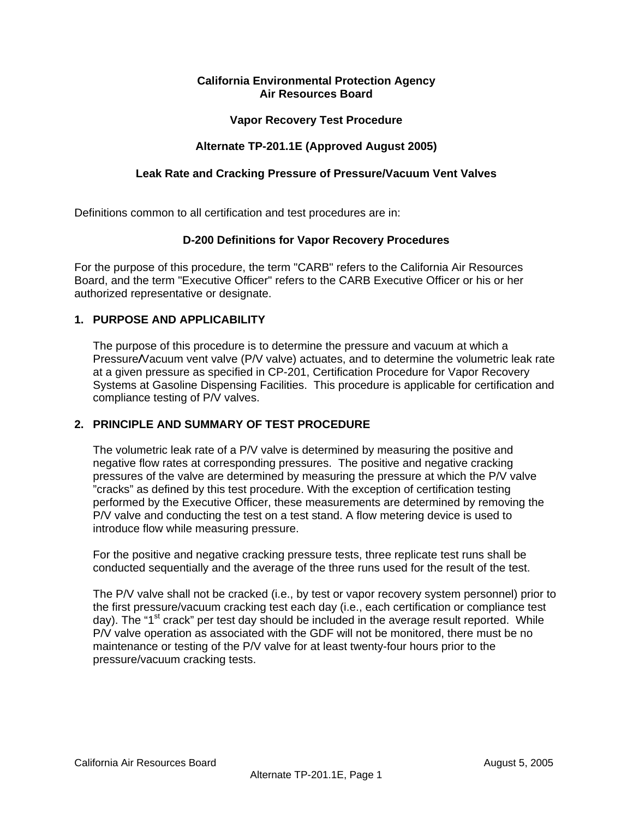## **California Environmental Protection Agency Air Resources Board**

### **Vapor Recovery Test Procedure**

### **Alternate TP-201.1E (Approved August 2005)**

### **Leak Rate and Cracking Pressure of Pressure/Vacuum Vent Valves**

Definitions common to all certification and test procedures are in:

#### **D-200 Definitions for Vapor Recovery Procedures**

For the purpose of this procedure, the term "CARB" refers to the California Air Resources Board, and the term "Executive Officer" refers to the CARB Executive Officer or his or her authorized representative or designate.

#### **1. PURPOSE AND APPLICABILITY**

The purpose of this procedure is to determine the pressure and vacuum at which a Pressure*/*Vacuum vent valve (P/V valve) actuates, and to determine the volumetric leak rate at a given pressure as specified in CP-201, Certification Procedure for Vapor Recovery Systems at Gasoline Dispensing Facilities. This procedure is applicable for certification and compliance testing of P/V valves.

#### **2. PRINCIPLE AND SUMMARY OF TEST PROCEDURE**

 The volumetric leak rate of a P/V valve is determined by measuring the positive and negative flow rates at corresponding pressures. The positive and negative cracking pressures of the valve are determined by measuring the pressure at which the P/V valve "cracks" as defined by this test procedure. With the exception of certification testing performed by the Executive Officer, these measurements are determined by removing the P/V valve and conducting the test on a test stand. A flow metering device is used to introduce flow while measuring pressure.

 For the positive and negative cracking pressure tests, three replicate test runs shall be conducted sequentially and the average of the three runs used for the result of the test.

 The P/V valve shall not be cracked (i.e., by test or vapor recovery system personnel) prior to the first pressure/vacuum cracking test each day (i.e., each certification or compliance test day). The "1<sup>st</sup> crack" per test day should be included in the average result reported. While P/V valve operation as associated with the GDF will not be monitored, there must be no maintenance or testing of the P/V valve for at least twenty-four hours prior to the pressure/vacuum cracking tests.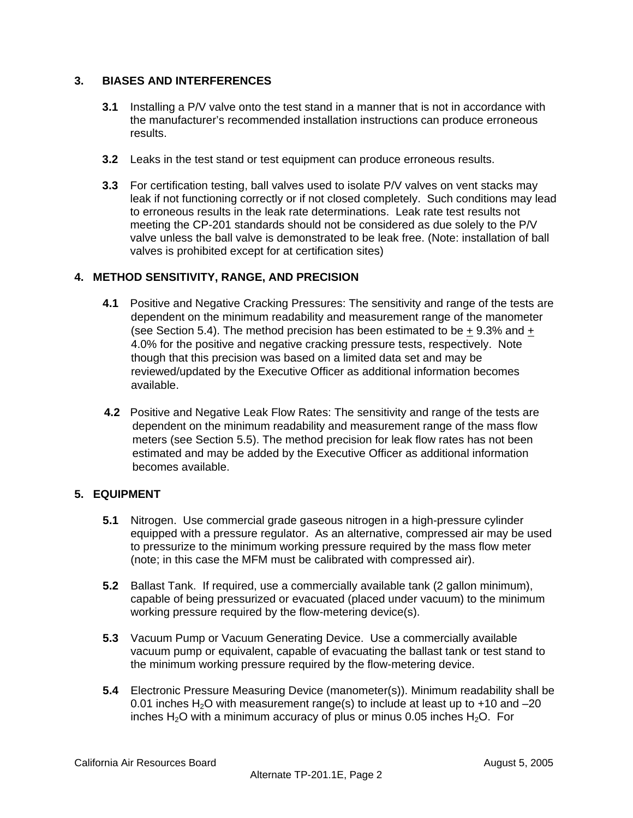# **3. BIASES AND INTERFERENCES**

- **3.1** Installing a P/V valve onto the test stand in a manner that is not in accordance with the manufacturer's recommended installation instructions can produce erroneous results.
- **3.2** Leaks in the test stand or test equipment can produce erroneous results.
- **3.3** For certification testing, ball valves used to isolate P/V valves on vent stacks may leak if not functioning correctly or if not closed completely. Such conditions may lead to erroneous results in the leak rate determinations. Leak rate test results not meeting the CP-201 standards should not be considered as due solely to the P/V valve unless the ball valve is demonstrated to be leak free. (Note: installation of ball valves is prohibited except for at certification sites)

# **4. METHOD SENSITIVITY, RANGE, AND PRECISION**

- **4.1** Positive and Negative Cracking Pressures: The sensitivity and range of the tests are dependent on the minimum readability and measurement range of the manometer (see Section 5.4). The method precision has been estimated to be  $+$  9.3% and  $+$ 4.0% for the positive and negative cracking pressure tests, respectively. Note though that this precision was based on a limited data set and may be reviewed/updated by the Executive Officer as additional information becomes available.
- **4.2** Positive and Negative Leak Flow Rates: The sensitivity and range of the tests are dependent on the minimum readability and measurement range of the mass flow meters (see Section 5.5). The method precision for leak flow rates has not been estimated and may be added by the Executive Officer as additional information becomes available.

# **5. EQUIPMENT**

- **5.1** Nitrogen. Use commercial grade gaseous nitrogen in a high-pressure cylinder equipped with a pressure regulator. As an alternative, compressed air may be used to pressurize to the minimum working pressure required by the mass flow meter (note; in this case the MFM must be calibrated with compressed air).
- **5.2** Ballast Tank. If required, use a commercially available tank (2 gallon minimum), capable of being pressurized or evacuated (placed under vacuum) to the minimum working pressure required by the flow-metering device(s).
- **5.3** Vacuum Pump or Vacuum Generating Device. Use a commercially available vacuum pump or equivalent, capable of evacuating the ballast tank or test stand to the minimum working pressure required by the flow-metering device.
- **5.4** Electronic Pressure Measuring Device (manometer(s)). Minimum readability shall be 0.01 inches  $H_2O$  with measurement range(s) to include at least up to  $+10$  and  $-20$ inches H<sub>2</sub>O with a minimum accuracy of plus or minus 0.05 inches H<sub>2</sub>O. For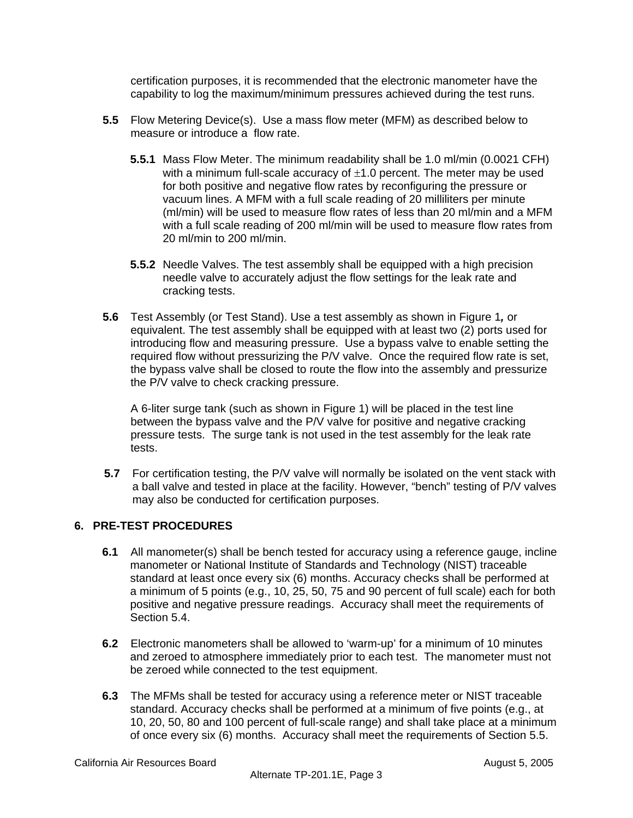certification purposes, it is recommended that the electronic manometer have the capability to log the maximum/minimum pressures achieved during the test runs.

- **5.5** Flow Metering Device(s). Use a mass flow meter (MFM) as described below to measure or introduce a flow rate.
	- **5.5.1** Mass Flow Meter. The minimum readability shall be 1.0 ml/min (0.0021 CFH) with a minimum full-scale accuracy of  $\pm 1.0$  percent. The meter may be used for both positive and negative flow rates by reconfiguring the pressure or vacuum lines. A MFM with a full scale reading of 20 milliliters per minute (ml/min) will be used to measure flow rates of less than 20 ml/min and a MFM with a full scale reading of 200 ml/min will be used to measure flow rates from 20 ml/min to 200 ml/min.
	- **5.5.2** Needle Valves. The test assembly shall be equipped with a high precision needle valve to accurately adjust the flow settings for the leak rate and cracking tests.
- **5.6** Test Assembly (or Test Stand). Use a test assembly as shown in Figure 1*,* or equivalent. The test assembly shall be equipped with at least two (2) ports used for introducing flow and measuring pressure. Use a bypass valve to enable setting the required flow without pressurizing the P/V valve. Once the required flow rate is set, the bypass valve shall be closed to route the flow into the assembly and pressurize the P/V valve to check cracking pressure.

A 6-liter surge tank (such as shown in Figure 1) will be placed in the test line between the bypass valve and the P/V valve for positive and negative cracking pressure tests. The surge tank is not used in the test assembly for the leak rate tests.

**5.7** For certification testing, the P/V valve will normally be isolated on the vent stack with a ball valve and tested in place at the facility. However, "bench" testing of P/V valves may also be conducted for certification purposes.

# **6. PRE-TEST PROCEDURES**

- **6.1** All manometer(s) shall be bench tested for accuracy using a reference gauge, incline manometer or National Institute of Standards and Technology (NIST) traceable standard at least once every six (6) months. Accuracy checks shall be performed at a minimum of 5 points (e.g., 10, 25, 50, 75 and 90 percent of full scale) each for both positive and negative pressure readings. Accuracy shall meet the requirements of Section 5.4.
- **6.2** Electronic manometers shall be allowed to 'warm-up' for a minimum of 10 minutes and zeroed to atmosphere immediately prior to each test. The manometer must not be zeroed while connected to the test equipment.
- **6.3** The MFMs shall be tested for accuracy using a reference meter or NIST traceable standard. Accuracy checks shall be performed at a minimum of five points (e.g., at 10, 20, 50, 80 and 100 percent of full-scale range) and shall take place at a minimum of once every six (6) months. Accuracy shall meet the requirements of Section 5.5.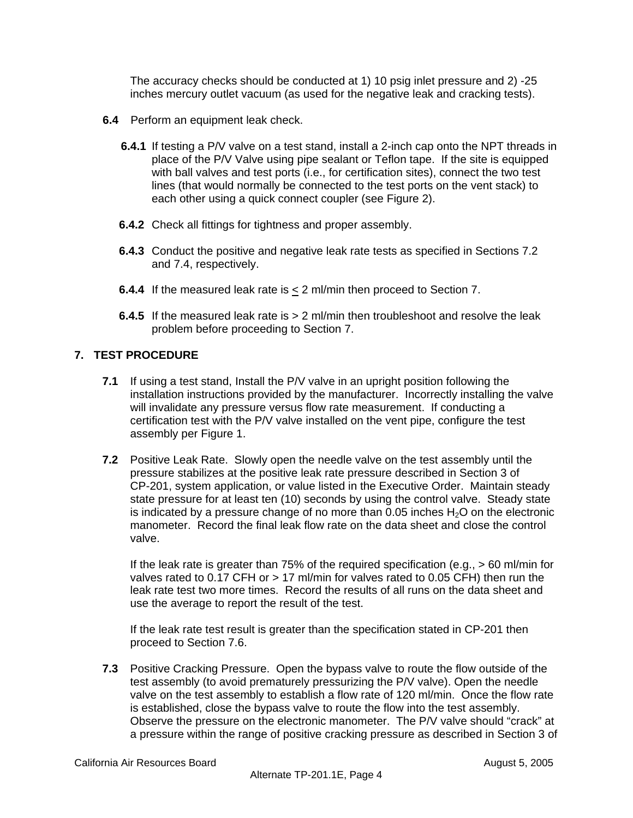The accuracy checks should be conducted at 1) 10 psig inlet pressure and 2) -25 inches mercury outlet vacuum (as used for the negative leak and cracking tests).

- **6.4** Perform an equipment leak check.
	- **6.4.1** If testing a P/V valve on a test stand, install a 2-inch cap onto the NPT threads in place of the P/V Valve using pipe sealant or Teflon tape. If the site is equipped with ball valves and test ports (i.e., for certification sites), connect the two test lines (that would normally be connected to the test ports on the vent stack) to each other using a quick connect coupler (see Figure 2).
	- **6.4.2** Check all fittings for tightness and proper assembly.
	- **6.4.3** Conduct the positive and negative leak rate tests as specified in Sections 7.2 and 7.4, respectively.
	- **6.4.4** If the measured leak rate is  $\leq$  2 ml/min then proceed to Section 7.
	- **6.4.5** If the measured leak rate is  $> 2$  ml/min then troubleshoot and resolve the leak problem before proceeding to Section 7.

# **7. TEST PROCEDURE**

- **7.1** If using a test stand, Install the P/V valve in an upright position following the installation instructions provided by the manufacturer. Incorrectly installing the valve will invalidate any pressure versus flow rate measurement. If conducting a certification test with the P/V valve installed on the vent pipe, configure the test assembly per Figure 1.
- **7.2** Positive Leak Rate. Slowly open the needle valve on the test assembly until the pressure stabilizes at the positive leak rate pressure described in Section 3 of CP-201, system application, or value listed in the Executive Order. Maintain steady state pressure for at least ten (10) seconds by using the control valve. Steady state is indicated by a pressure change of no more than  $0.05$  inches  $H<sub>2</sub>O$  on the electronic manometer. Record the final leak flow rate on the data sheet and close the control valve.

If the leak rate is greater than 75% of the required specification (e.g., > 60 ml/min for valves rated to 0.17 CFH or > 17 ml/min for valves rated to 0.05 CFH) then run the leak rate test two more times. Record the results of all runs on the data sheet and use the average to report the result of the test.

If the leak rate test result is greater than the specification stated in CP-201 then proceed to Section 7.6.

**7.3** Positive Cracking Pressure. Open the bypass valve to route the flow outside of the test assembly (to avoid prematurely pressurizing the P/V valve). Open the needle valve on the test assembly to establish a flow rate of 120 ml/min. Once the flow rate is established, close the bypass valve to route the flow into the test assembly. Observe the pressure on the electronic manometer. The P/V valve should "crack" at a pressure within the range of positive cracking pressure as described in Section 3 of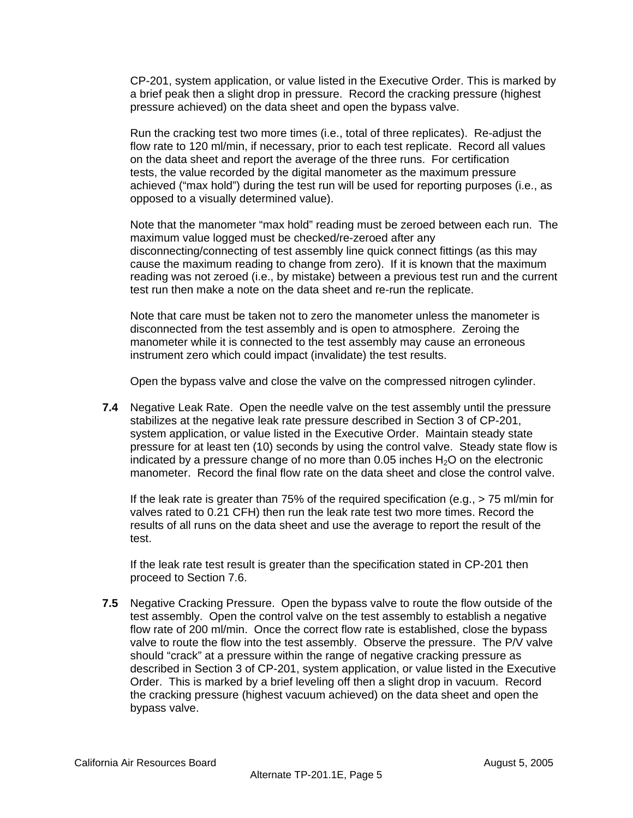CP-201, system application, or value listed in the Executive Order. This is marked by a brief peak then a slight drop in pressure. Record the cracking pressure (highest pressure achieved) on the data sheet and open the bypass valve.

Run the cracking test two more times (i.e., total of three replicates). Re-adjust the flow rate to 120 ml/min, if necessary, prior to each test replicate. Record all values on the data sheet and report the average of the three runs. For certification tests, the value recorded by the digital manometer as the maximum pressure achieved ("max hold") during the test run will be used for reporting purposes (i.e., as opposed to a visually determined value).

Note that the manometer "max hold" reading must be zeroed between each run. The maximum value logged must be checked/re-zeroed after any disconnecting/connecting of test assembly line quick connect fittings (as this may cause the maximum reading to change from zero). If it is known that the maximum reading was not zeroed (i.e., by mistake) between a previous test run and the current test run then make a note on the data sheet and re-run the replicate.

Note that care must be taken not to zero the manometer unless the manometer is disconnected from the test assembly and is open to atmosphere. Zeroing the manometer while it is connected to the test assembly may cause an erroneous instrument zero which could impact (invalidate) the test results.

Open the bypass valve and close the valve on the compressed nitrogen cylinder.

**7.4** Negative Leak Rate. Open the needle valve on the test assembly until the pressure stabilizes at the negative leak rate pressure described in Section 3 of CP-201, system application, or value listed in the Executive Order. Maintain steady state pressure for at least ten (10) seconds by using the control valve. Steady state flow is indicated by a pressure change of no more than 0.05 inches  $H_2O$  on the electronic manometer. Record the final flow rate on the data sheet and close the control valve.

If the leak rate is greater than 75% of the required specification (e.g., > 75 ml/min for valves rated to 0.21 CFH) then run the leak rate test two more times. Record the results of all runs on the data sheet and use the average to report the result of the test.

If the leak rate test result is greater than the specification stated in CP-201 then proceed to Section 7.6.

**7.5** Negative Cracking Pressure. Open the bypass valve to route the flow outside of the test assembly.Open the control valve on the test assembly to establish a negative flow rate of 200 ml/min. Once the correct flow rate is established, close the bypass valve to route the flow into the test assembly. Observe the pressure. The P/V valve should "crack" at a pressure within the range of negative cracking pressure as described in Section 3 of CP-201, system application, or value listed in the Executive Order. This is marked by a brief leveling off then a slight drop in vacuum. Record the cracking pressure (highest vacuum achieved) on the data sheet and open the bypass valve.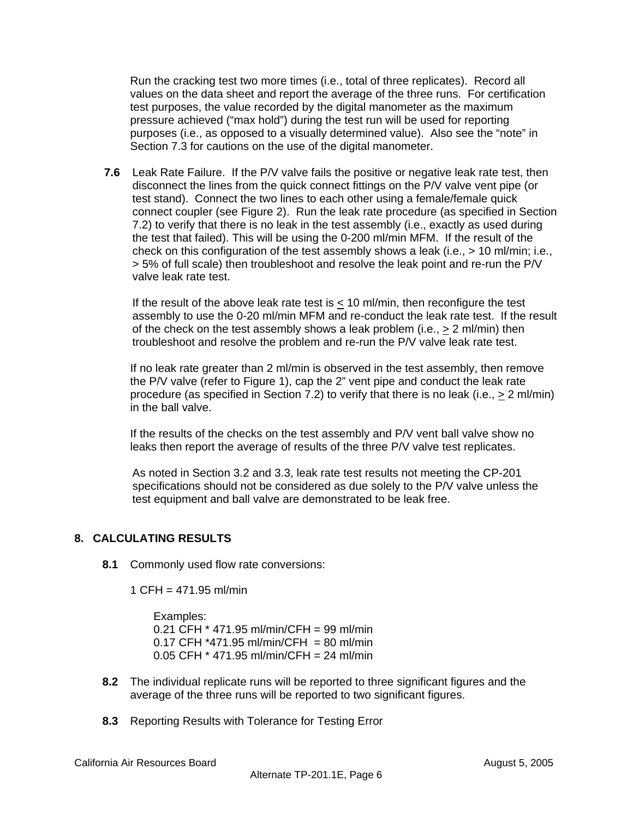Run the cracking test two more times (i.e., total of three replicates). Record all values on the data sheet and report the average of the three runs. For certification test purposes, the value recorded by the digital manometer as the maximum pressure achieved ("max hold") during the test run will be used for reporting purposes (i.e., as opposed to a visually determined value). Also see the "note" in Section 7.3 for cautions on the use of the digital manometer.

**7.6** Leak Rate Failure. If the P/V valve fails the positive or negative leak rate test, then disconnect the lines from the quick connect fittings on the P/V valve vent pipe (or test stand). Connect the two lines to each other using a female/female quick connect coupler (see Figure 2). Run the leak rate procedure (as specified in Section 7.2) to verify that there is no leak in the test assembly (i.e., exactly as used during the test that failed). This will be using the 0-200 ml/min MFM. If the result of the check on this configuration of the test assembly shows a leak (i.e.,  $> 10$  ml/min; i.e., > 5% of full scale) then troubleshoot and resolve the leak point and re-run the P/V valve leak rate test.

If the result of the above leak rate test is  $\leq$  10 ml/min, then reconfigure the test assembly to use the 0-20 ml/min MFM and re-conduct the leak rate test. If the result of the check on the test assembly shows a leak problem (i.e.,  $\geq 2$  ml/min) then troubleshoot and resolve the problem and re-run the P/V valve leak rate test.

If no leak rate greater than 2 ml/min is observed in the test assembly, then remove the P/V valve (refer to Figure 1), cap the 2" vent pipe and conduct the leak rate procedure (as specified in Section 7.2) to verify that there is no leak (i.e.,  $\geq 2$  ml/min) in the ball valve.

If the results of the checks on the test assembly and P/V vent ball valve show no leaks then report the average of results of the three P/V valve test replicates.

As noted in Section 3.2 and 3.3, leak rate test results not meeting the CP-201 specifications should not be considered as due solely to the P/V valve unless the test equipment and ball valve are demonstrated to be leak free.

# **8. CALCULATING RESULTS**

**8.1** Commonly used flow rate conversions:

1 CFH = 471.95 ml/min

 Examples: 0.21 CFH \* 471.95 ml/min/CFH = 99 ml/min  $0.17$  CFH  $*471.95$  ml/min/CFH = 80 ml/min 0.05 CFH \* 471.95 ml/min/CFH = 24 ml/min

- **8.2** The individual replicate runs will be reported to three significant figures and the average of the three runs will be reported to two significant figures.
- **8.3** Reporting Results with Tolerance for Testing Error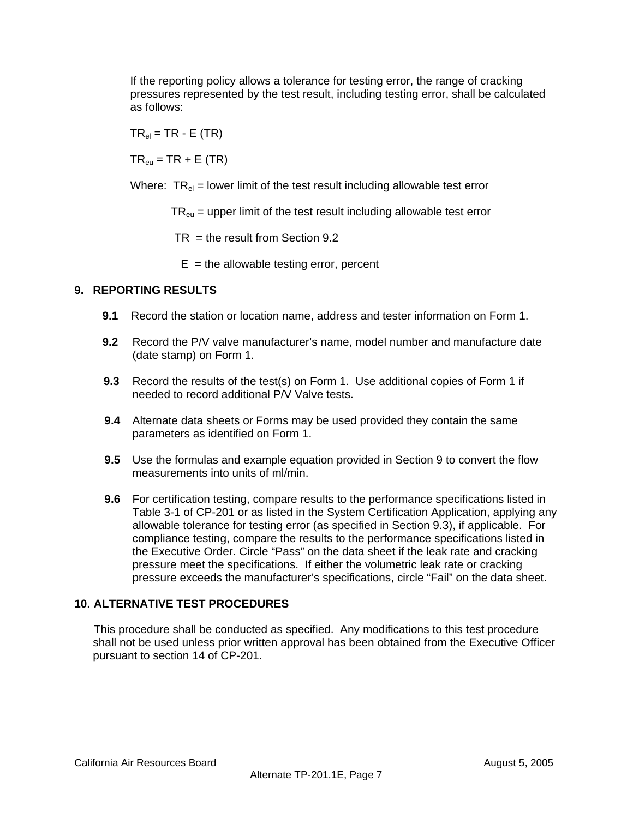If the reporting policy allows a tolerance for testing error, the range of cracking pressures represented by the test result, including testing error, shall be calculated as follows:

 $TR_{el} = TR - E (TR)$ 

 $TR_{\text{eu}} = TR + E (TR)$ 

Where:  $TR_{el}$  = lower limit of the test result including allowable test error

 $TR<sub>eu</sub>$  = upper limit of the test result including allowable test error

 $TR =$  the result from Section 9.2

 $E =$  the allowable testing error, percent

## **9. REPORTING RESULTS**

- **9.1** Record the station or location name, address and tester information on Form 1.
- **9.2** Record the P/V valve manufacturer's name, model number and manufacture date (date stamp) on Form 1.
- **9.3** Record the results of the test(s) on Form 1. Use additional copies of Form 1 if needed to record additional P/V Valve tests.
- **9.4** Alternate data sheets or Forms may be used provided they contain the same parameters as identified on Form 1.
- **9.5** Use the formulas and example equation provided in Section 9 to convert the flow measurements into units of ml/min.
- **9.6** For certification testing, compare results to the performance specifications listed in Table 3-1 of CP-201 or as listed in the System Certification Application, applying any allowable tolerance for testing error (as specified in Section 9.3), if applicable. For compliance testing, compare the results to the performance specifications listed in the Executive Order. Circle "Pass" on the data sheet if the leak rate and cracking pressure meet the specifications. If either the volumetric leak rate or cracking pressure exceeds the manufacturer's specifications, circle "Fail" on the data sheet.

### **10. ALTERNATIVE TEST PROCEDURES**

This procedure shall be conducted as specified. Any modifications to this test procedure shall not be used unless prior written approval has been obtained from the Executive Officer pursuant to section 14 of CP-201.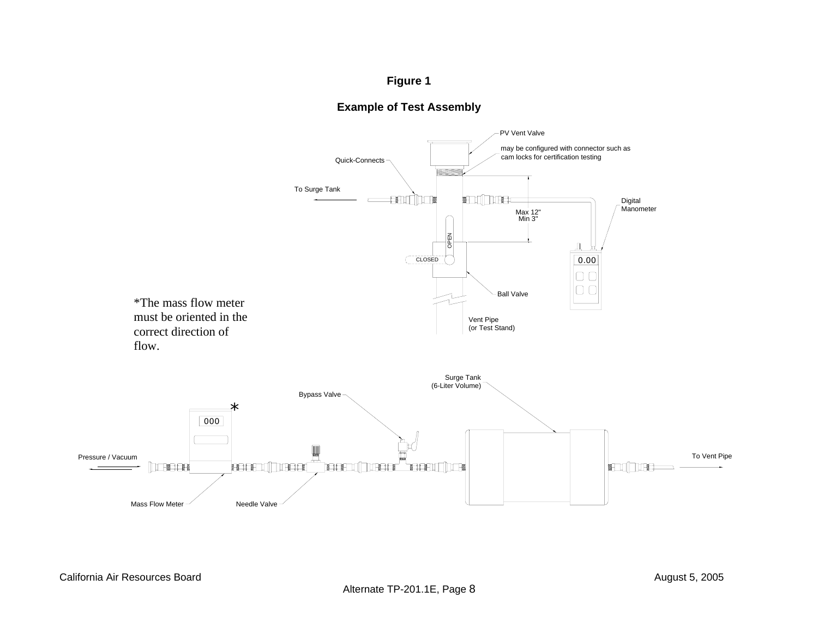# **Figure 1**



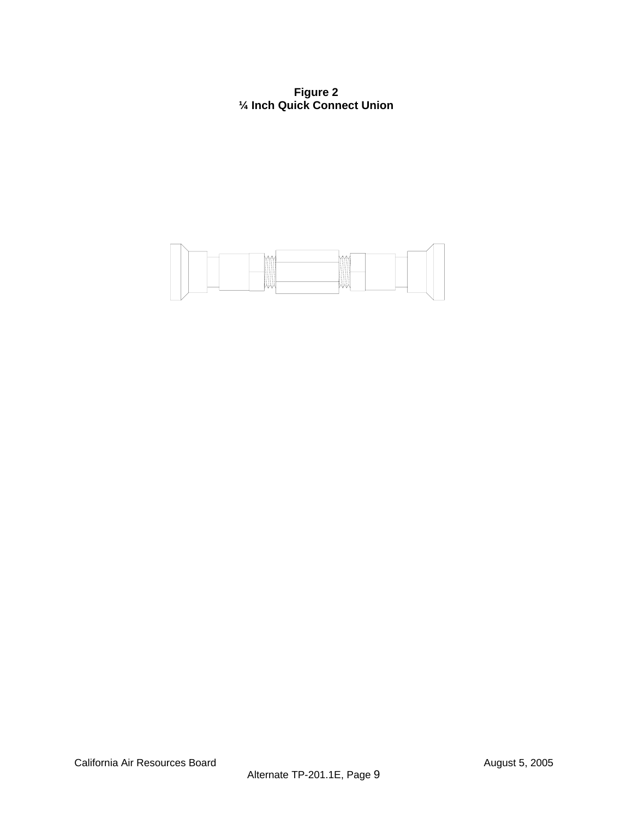**Figure 2 ¼ Inch Quick Connect Union**